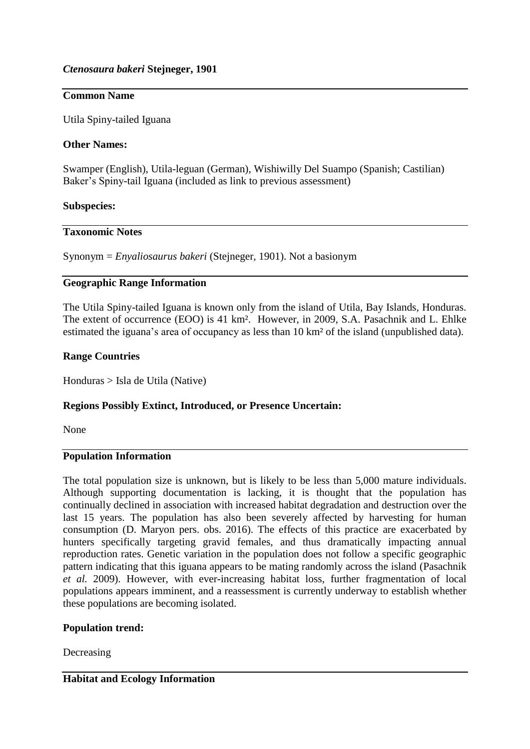# **Common Name**

Utila Spiny-tailed Iguana

## **Other Names:**

Swamper (English), Utila-leguan (German), Wishiwilly Del Suampo (Spanish; Castilian) Baker's Spiny-tail Iguana (included as link to previous assessment)

## **Subspecies:**

# **Taxonomic Notes**

Synonym = *Enyaliosaurus bakeri* (Stejneger, 1901). Not a basionym

## **Geographic Range Information**

The Utila Spiny-tailed Iguana is known only from the island of Utila, Bay Islands, Honduras. The extent of occurrence (EOO) is 41 km². However, in 2009, S.A. Pasachnik and L. Ehlke estimated the iguana's area of occupancy as less than 10 km² of the island (unpublished data).

## **Range Countries**

Honduras > Isla de Utila (Native)

### **Regions Possibly Extinct, Introduced, or Presence Uncertain:**

None

## **Population Information**

The total population size is unknown, but is likely to be less than 5,000 mature individuals. Although supporting documentation is lacking, it is thought that the population has continually declined in association with increased habitat degradation and destruction over the last 15 years. The population has also been severely affected by harvesting for human consumption (D. Maryon pers. obs. 2016). The effects of this practice are exacerbated by hunters specifically targeting gravid females, and thus dramatically impacting annual reproduction rates. Genetic variation in the population does not follow a specific geographic pattern indicating that this iguana appears to be mating randomly across the island (Pasachnik *et al.* 2009). However, with ever-increasing habitat loss, further fragmentation of local populations appears imminent, and a reassessment is currently underway to establish whether these populations are becoming isolated.

### **Population trend:**

Decreasing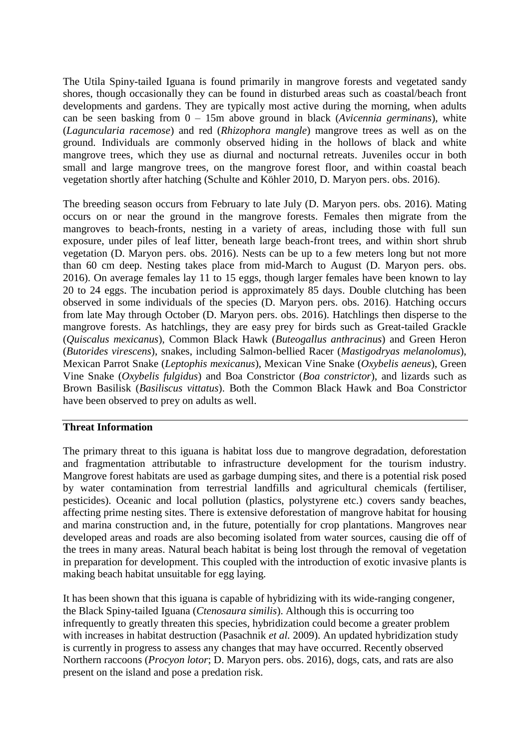The Utila Spiny-tailed Iguana is found primarily in mangrove forests and vegetated sandy shores, though occasionally they can be found in disturbed areas such as coastal/beach front developments and gardens. They are typically most active during the morning, when adults can be seen basking from 0 – 15m above ground in black (*Avicennia germinans*), white (*Laguncularia racemose*) and red (*Rhizophora mangle*) mangrove trees as well as on the ground. Individuals are commonly observed hiding in the hollows of black and white mangrove trees, which they use as diurnal and nocturnal retreats. Juveniles occur in both small and large mangrove trees, on the mangrove forest floor, and within coastal beach vegetation shortly after hatching (Schulte and Köhler 2010, D. Maryon pers. obs. 2016).

The breeding season occurs from February to late July (D. Maryon pers. obs. 2016). Mating occurs on or near the ground in the mangrove forests. Females then migrate from the mangroves to beach-fronts, nesting in a variety of areas, including those with full sun exposure, under piles of leaf litter, beneath large beach-front trees, and within short shrub vegetation (D. Maryon pers. obs. 2016). Nests can be up to a few meters long but not more than 60 cm deep. Nesting takes place from mid-March to August (D. Maryon pers. obs. 2016). On average females lay 11 to 15 eggs, though larger females have been known to lay 20 to 24 eggs. The incubation period is approximately 85 days. Double clutching has been observed in some individuals of the species (D. Maryon pers. obs. 2016). Hatching occurs from late May through October (D. Maryon pers. obs. 2016). Hatchlings then disperse to the mangrove forests. As hatchlings, they are easy prey for birds such as Great-tailed Grackle (*Quiscalus mexicanus*), Common Black Hawk (*Buteogallus anthracinus*) and Green Heron (*Butorides virescens*), snakes, including Salmon-bellied Racer (*Mastigodryas melanolomus*), Mexican Parrot Snake (*Leptophis mexicanus*), Mexican Vine Snake (*Oxybelis aeneus*), Green Vine Snake (*Oxybelis fulgidus*) and Boa Constrictor (*Boa constrictor*)*,* and lizards such as Brown Basilisk (*Basiliscus vittatus*). Both the Common Black Hawk and Boa Constrictor have been observed to prey on adults as well.

### **Threat Information**

The primary threat to this iguana is habitat loss due to mangrove degradation, deforestation and fragmentation attributable to infrastructure development for the tourism industry. Mangrove forest habitats are used as garbage dumping sites, and there is a potential risk posed by water contamination from terrestrial landfills and agricultural chemicals (fertiliser, pesticides). Oceanic and local pollution (plastics, polystyrene etc.) covers sandy beaches, affecting prime nesting sites. There is extensive deforestation of mangrove habitat for housing and marina construction and, in the future, potentially for crop plantations. Mangroves near developed areas and roads are also becoming isolated from water sources, causing die off of the trees in many areas. Natural beach habitat is being lost through the removal of vegetation in preparation for development. This coupled with the introduction of exotic invasive plants is making beach habitat unsuitable for egg laying.

It has been shown that this iguana is capable of hybridizing with its wide-ranging congener, the Black Spiny-tailed Iguana (*Ctenosaura similis*). Although this is occurring too infrequently to greatly threaten this species, hybridization could become a greater problem with increases in habitat destruction (Pasachnik *et al.* 2009). An updated hybridization study is currently in progress to assess any changes that may have occurred. Recently observed Northern raccoons (*Procyon lotor*; D. Maryon pers. obs. 2016), dogs, cats, and rats are also present on the island and pose a predation risk.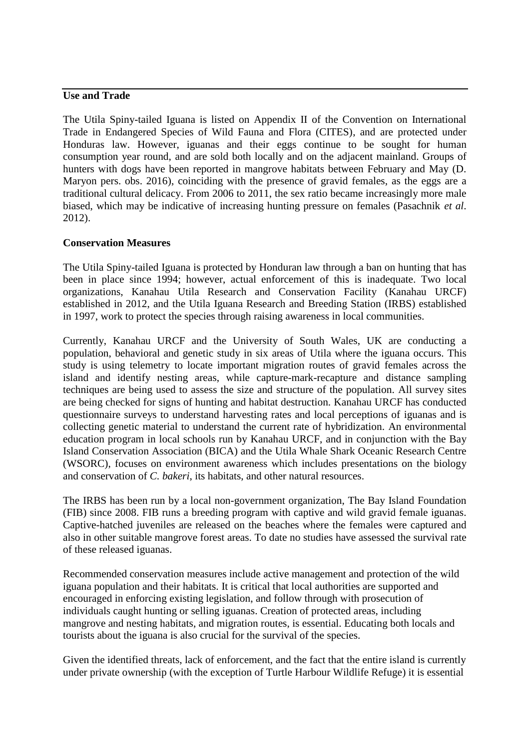## **Use and Trade**

The Utila Spiny-tailed Iguana is listed on Appendix II of the Convention on International Trade in Endangered Species of Wild Fauna and Flora (CITES), and are protected under Honduras law. However, iguanas and their eggs continue to be sought for human consumption year round, and are sold both locally and on the adjacent mainland. Groups of hunters with dogs have been reported in mangrove habitats between February and May (D. Maryon pers. obs. 2016), coinciding with the presence of gravid females, as the eggs are a traditional cultural delicacy. From 2006 to 2011, the sex ratio became increasingly more male biased, which may be indicative of increasing hunting pressure on females (Pasachnik *et al*. 2012).

### **Conservation Measures**

The Utila Spiny-tailed Iguana is protected by Honduran law through a ban on hunting that has been in place since 1994; however, actual enforcement of this is inadequate. Two local organizations, Kanahau Utila Research and Conservation Facility (Kanahau URCF) established in 2012, and the Utila Iguana Research and Breeding Station (IRBS) established in 1997, work to protect the species through raising awareness in local communities.

Currently, Kanahau URCF and the University of South Wales, UK are conducting a population, behavioral and genetic study in six areas of Utila where the iguana occurs. This study is using telemetry to locate important migration routes of gravid females across the island and identify nesting areas, while capture-mark-recapture and distance sampling techniques are being used to assess the size and structure of the population. All survey sites are being checked for signs of hunting and habitat destruction. Kanahau URCF has conducted questionnaire surveys to understand harvesting rates and local perceptions of iguanas and is collecting genetic material to understand the current rate of hybridization. An environmental education program in local schools run by Kanahau URCF, and in conjunction with the Bay Island Conservation Association (BICA) and the Utila Whale Shark Oceanic Research Centre (WSORC), focuses on environment awareness which includes presentations on the biology and conservation of *C. bakeri*, its habitats, and other natural resources.

The IRBS has been run by a local non-government organization, The Bay Island Foundation (FIB) since 2008. FIB runs a breeding program with captive and wild gravid female iguanas. Captive-hatched juveniles are released on the beaches where the females were captured and also in other suitable mangrove forest areas. To date no studies have assessed the survival rate of these released iguanas.

Recommended conservation measures include active management and protection of the wild iguana population and their habitats. It is critical that local authorities are supported and encouraged in enforcing existing legislation, and follow through with prosecution of individuals caught hunting or selling iguanas. Creation of protected areas, including mangrove and nesting habitats, and migration routes, is essential. Educating both locals and tourists about the iguana is also crucial for the survival of the species.

Given the identified threats, lack of enforcement, and the fact that the entire island is currently under private ownership (with the exception of Turtle Harbour Wildlife Refuge) it is essential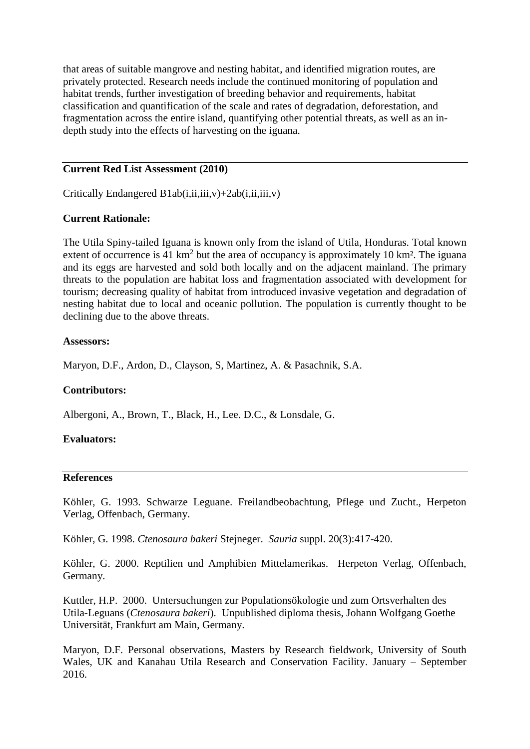that areas of suitable mangrove and nesting habitat, and identified migration routes, are privately protected. Research needs include the continued monitoring of population and habitat trends, further investigation of breeding behavior and requirements, habitat classification and quantification of the scale and rates of degradation, deforestation, and fragmentation across the entire island, quantifying other potential threats, as well as an indepth study into the effects of harvesting on the iguana.

### **Current Red List Assessment (2010)**

Critically Endangered  $B1ab(i,ii,iii,v)+2ab(i,ii,iii,v)$ 

## **Current Rationale:**

The Utila Spiny-tailed Iguana is known only from the island of Utila, Honduras. Total known extent of occurrence is  $41 \text{ km}^2$  but the area of occupancy is approximately 10 km<sup>2</sup>. The iguana and its eggs are harvested and sold both locally and on the adjacent mainland. The primary threats to the population are habitat loss and fragmentation associated with development for tourism; decreasing quality of habitat from introduced invasive vegetation and degradation of nesting habitat due to local and oceanic pollution. The population is currently thought to be declining due to the above threats.

### **Assessors:**

Maryon, D.F., Ardon, D., Clayson, S, Martinez, A. & Pasachnik, S.A.

### **Contributors:**

Albergoni, A., Brown, T., Black, H., Lee. D.C., & Lonsdale, G.

### **Evaluators:**

#### **References**

Köhler, G. 1993. Schwarze Leguane. Freilandbeobachtung, Pflege und Zucht., Herpeton Verlag, Offenbach, Germany.

Köhler, G. 1998. *Ctenosaura bakeri* Stejneger. *Sauria* suppl. 20(3):417-420.

Köhler, G. 2000. Reptilien und Amphibien Mittelamerikas. Herpeton Verlag, Offenbach, Germany.

Kuttler, H.P. 2000. Untersuchungen zur Populationsökologie und zum Ortsverhalten des Utila-Leguans (*Ctenosaura bakeri*). Unpublished diploma thesis, Johann Wolfgang Goethe Universität, Frankfurt am Main, Germany.

Maryon, D.F. Personal observations, Masters by Research fieldwork, University of South Wales, UK and Kanahau Utila Research and Conservation Facility. January – September 2016.